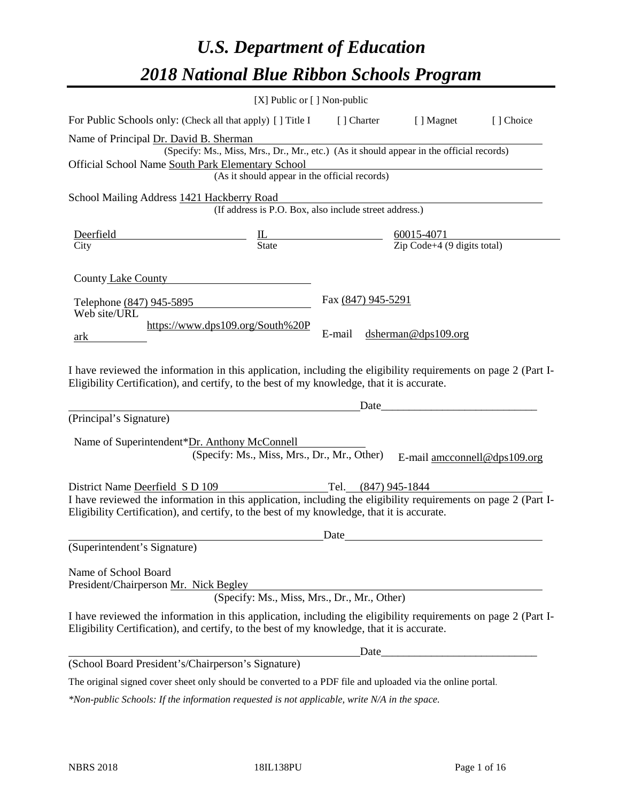# *U.S. Department of Education 2018 National Blue Ribbon Schools Program*

|                                                                                                                                                                                                              | [X] Public or [] Non-public                                                                                                               |                     |                              |           |
|--------------------------------------------------------------------------------------------------------------------------------------------------------------------------------------------------------------|-------------------------------------------------------------------------------------------------------------------------------------------|---------------------|------------------------------|-----------|
| For Public Schools only: (Check all that apply) [] Title I [] Charter [] Magnet                                                                                                                              |                                                                                                                                           |                     |                              | [] Choice |
| Name of Principal Dr. David B. Sherman<br>Official School Name South Park Elementary School                                                                                                                  | (Specify: Ms., Miss, Mrs., Dr., Mr., etc.) (As it should appear in the official records)<br>(As it should appear in the official records) |                     |                              |           |
| School Mailing Address 1421 Hackberry Road                                                                                                                                                                   | (If address is P.O. Box, also include street address.)                                                                                    |                     |                              |           |
|                                                                                                                                                                                                              |                                                                                                                                           |                     |                              |           |
| County Lake County                                                                                                                                                                                           |                                                                                                                                           |                     |                              |           |
| Telephone (847) 945-5895<br>Web site/URL                                                                                                                                                                     |                                                                                                                                           | Fax (847) 945-5291  |                              |           |
| ark                                                                                                                                                                                                          | https://www.dps109.org/South%20P                                                                                                          | E-mail              | dsherman@dps109.org          |           |
| I have reviewed the information in this application, including the eligibility requirements on page 2 (Part I-<br>Eligibility Certification), and certify, to the best of my knowledge, that it is accurate. |                                                                                                                                           |                     |                              |           |
| (Principal's Signature)                                                                                                                                                                                      |                                                                                                                                           |                     | Date                         |           |
| Name of Superintendent*Dr. Anthony McConnell<br>District Name Deerfield S D 109                                                                                                                              | (Specify: Ms., Miss, Mrs., Dr., Mr., Other)                                                                                               | Tel. (847) 945-1844 | E-mail amcconnell@dps109.org |           |
| I have reviewed the information in this application, including the eligibility requirements on page 2 (Part I-<br>Eligibility Certification), and certify, to the best of my knowledge, that it is accurate. |                                                                                                                                           |                     |                              |           |
|                                                                                                                                                                                                              |                                                                                                                                           | Date                |                              |           |
| (Superintendent's Signature)                                                                                                                                                                                 |                                                                                                                                           |                     |                              |           |
| Name of School Board<br>President/Chairperson Mr. Nick Begley                                                                                                                                                | (Specify: Ms., Miss, Mrs., Dr., Mr., Other)                                                                                               |                     |                              |           |
| I have reviewed the information in this application, including the eligibility requirements on page 2 (Part I-<br>Eligibility Certification), and certify, to the best of my knowledge, that it is accurate. |                                                                                                                                           |                     |                              |           |
|                                                                                                                                                                                                              |                                                                                                                                           | Date_               |                              |           |
| (School Board President's/Chairperson's Signature)                                                                                                                                                           |                                                                                                                                           |                     |                              |           |
| The original signed cover sheet only should be converted to a PDF file and uploaded via the online portal.                                                                                                   |                                                                                                                                           |                     |                              |           |

*\*Non-public Schools: If the information requested is not applicable, write N/A in the space.*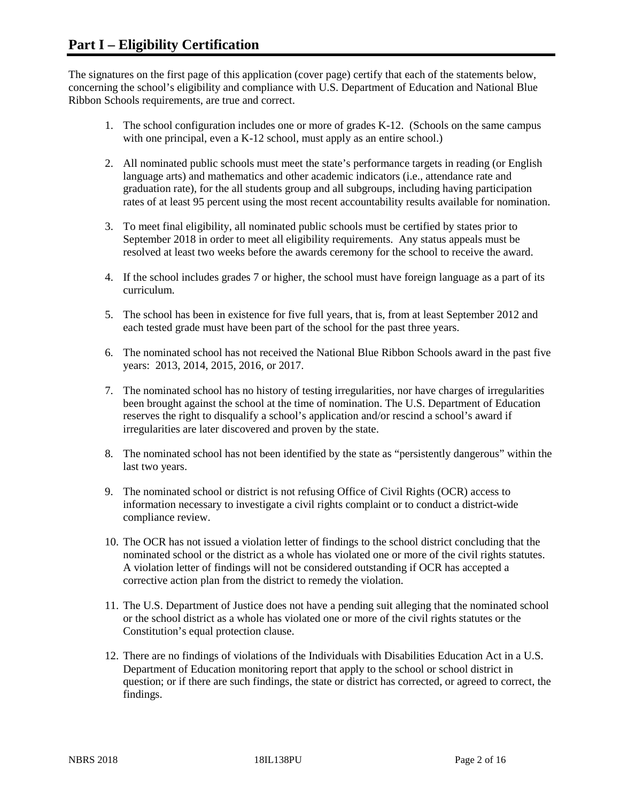The signatures on the first page of this application (cover page) certify that each of the statements below, concerning the school's eligibility and compliance with U.S. Department of Education and National Blue Ribbon Schools requirements, are true and correct.

- 1. The school configuration includes one or more of grades K-12. (Schools on the same campus with one principal, even a K-12 school, must apply as an entire school.)
- 2. All nominated public schools must meet the state's performance targets in reading (or English language arts) and mathematics and other academic indicators (i.e., attendance rate and graduation rate), for the all students group and all subgroups, including having participation rates of at least 95 percent using the most recent accountability results available for nomination.
- 3. To meet final eligibility, all nominated public schools must be certified by states prior to September 2018 in order to meet all eligibility requirements. Any status appeals must be resolved at least two weeks before the awards ceremony for the school to receive the award.
- 4. If the school includes grades 7 or higher, the school must have foreign language as a part of its curriculum.
- 5. The school has been in existence for five full years, that is, from at least September 2012 and each tested grade must have been part of the school for the past three years.
- 6. The nominated school has not received the National Blue Ribbon Schools award in the past five years: 2013, 2014, 2015, 2016, or 2017.
- 7. The nominated school has no history of testing irregularities, nor have charges of irregularities been brought against the school at the time of nomination. The U.S. Department of Education reserves the right to disqualify a school's application and/or rescind a school's award if irregularities are later discovered and proven by the state.
- 8. The nominated school has not been identified by the state as "persistently dangerous" within the last two years.
- 9. The nominated school or district is not refusing Office of Civil Rights (OCR) access to information necessary to investigate a civil rights complaint or to conduct a district-wide compliance review.
- 10. The OCR has not issued a violation letter of findings to the school district concluding that the nominated school or the district as a whole has violated one or more of the civil rights statutes. A violation letter of findings will not be considered outstanding if OCR has accepted a corrective action plan from the district to remedy the violation.
- 11. The U.S. Department of Justice does not have a pending suit alleging that the nominated school or the school district as a whole has violated one or more of the civil rights statutes or the Constitution's equal protection clause.
- 12. There are no findings of violations of the Individuals with Disabilities Education Act in a U.S. Department of Education monitoring report that apply to the school or school district in question; or if there are such findings, the state or district has corrected, or agreed to correct, the findings.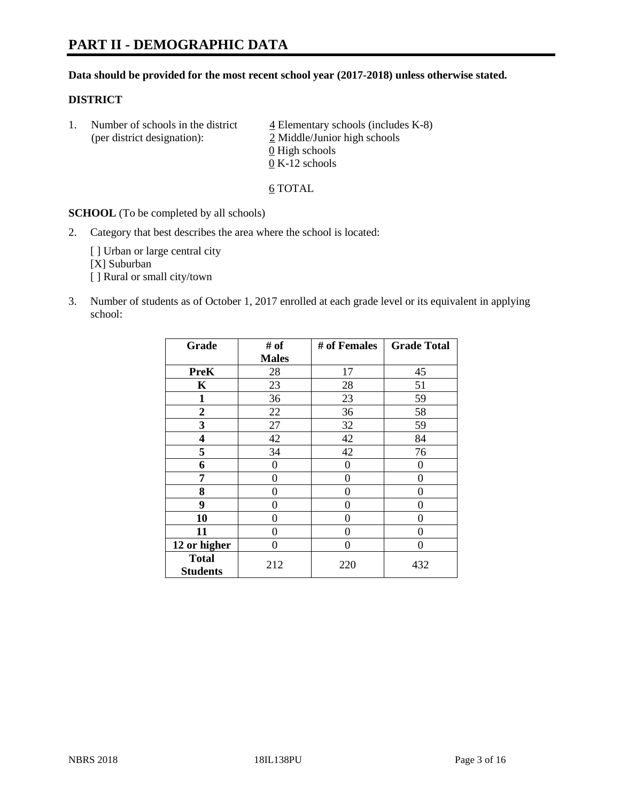#### **Data should be provided for the most recent school year (2017-2018) unless otherwise stated.**

#### **DISTRICT**

1. Number of schools in the district  $\frac{4}{4}$  Elementary schools (includes K-8) (per district designation): 2 Middle/Junior high schools 0 High schools 0 K-12 schools

6 TOTAL

**SCHOOL** (To be completed by all schools)

2. Category that best describes the area where the school is located:

[] Urban or large central city [X] Suburban [] Rural or small city/town

3. Number of students as of October 1, 2017 enrolled at each grade level or its equivalent in applying school:

| Grade                           | # of         | # of Females | <b>Grade Total</b> |
|---------------------------------|--------------|--------------|--------------------|
|                                 | <b>Males</b> |              |                    |
| <b>PreK</b>                     | 28           | 17           | 45                 |
| K                               | 23           | 28           | 51                 |
| $\mathbf{1}$                    | 36           | 23           | 59                 |
| $\overline{2}$                  | 22           | 36           | 58                 |
| 3                               | 27           | 32           | 59                 |
| 4                               | 42           | 42           | 84                 |
| 5                               | 34           | 42           | 76                 |
| 6                               | 0            | 0            | 0                  |
| 7                               | 0            | 0            | 0                  |
| 8                               | 0            | 0            | 0                  |
| 9                               | 0            | 0            | 0                  |
| 10                              | 0            | 0            | 0                  |
| 11                              | 0            | 0            | 0                  |
| 12 or higher                    | 0            | 0            | 0                  |
| <b>Total</b><br><b>Students</b> | 212          | 220          | 432                |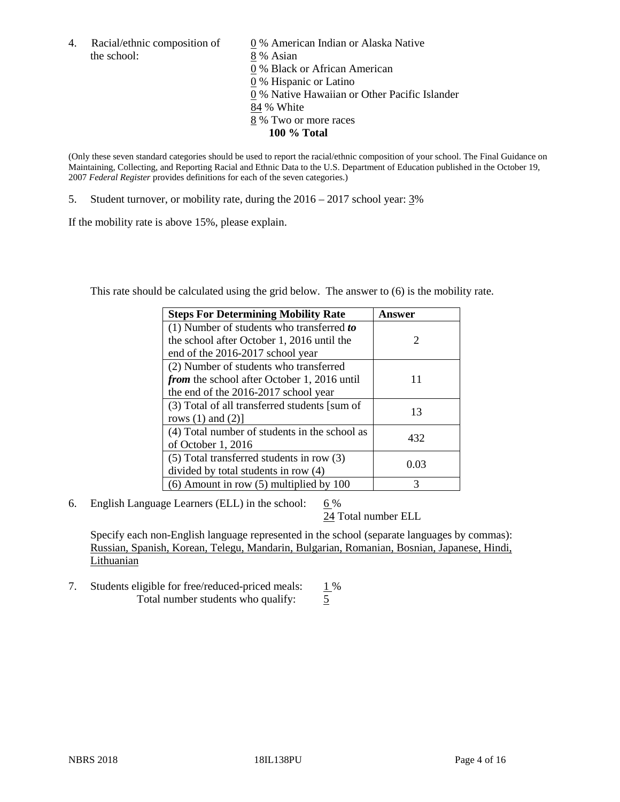the school: 8 % Asian

4. Racial/ethnic composition of  $\qquad 0\%$  American Indian or Alaska Native 0 % Black or African American 0 % Hispanic or Latino 0 % Native Hawaiian or Other Pacific Islander 84 % White 8 % Two or more races **100 % Total**

(Only these seven standard categories should be used to report the racial/ethnic composition of your school. The Final Guidance on Maintaining, Collecting, and Reporting Racial and Ethnic Data to the U.S. Department of Education published in the October 19, 2007 *Federal Register* provides definitions for each of the seven categories.)

5. Student turnover, or mobility rate, during the 2016 – 2017 school year: 3%

If the mobility rate is above 15%, please explain.

This rate should be calculated using the grid below. The answer to (6) is the mobility rate.

| <b>Steps For Determining Mobility Rate</b>         | Answer |
|----------------------------------------------------|--------|
| (1) Number of students who transferred to          |        |
| the school after October 1, 2016 until the         | 2      |
| end of the 2016-2017 school year                   |        |
| (2) Number of students who transferred             |        |
| <i>from</i> the school after October 1, 2016 until | 11     |
| the end of the 2016-2017 school year               |        |
| (3) Total of all transferred students [sum of      |        |
| rows $(1)$ and $(2)$ ]                             | 13     |
| (4) Total number of students in the school as      |        |
| of October 1, 2016                                 | 432    |
| $(5)$ Total transferred students in row $(3)$      |        |
| divided by total students in row (4)               | 0.03   |
| $(6)$ Amount in row $(5)$ multiplied by 100        | 3      |

6. English Language Learners (ELL) in the school:  $6\%$ 

24 Total number ELL

Specify each non-English language represented in the school (separate languages by commas): Russian, Spanish, Korean, Telegu, Mandarin, Bulgarian, Romanian, Bosnian, Japanese, Hindi, Lithuanian

7. Students eligible for free/reduced-priced meals: 1% Total number students who qualify:  $\frac{5}{5}$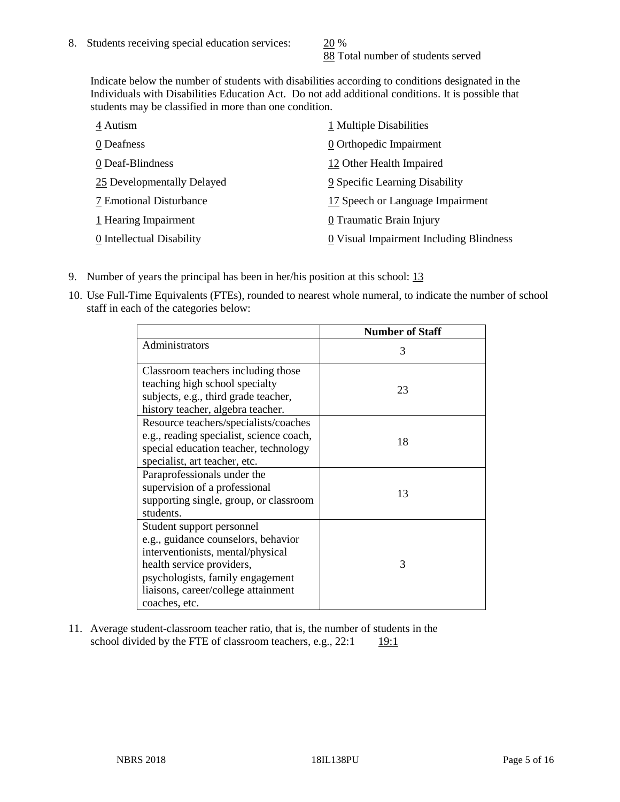88 Total number of students served

Indicate below the number of students with disabilities according to conditions designated in the Individuals with Disabilities Education Act. Do not add additional conditions. It is possible that students may be classified in more than one condition.

| 4 Autism                   | 1 Multiple Disabilities                 |
|----------------------------|-----------------------------------------|
| 0 Deafness                 | 0 Orthopedic Impairment                 |
| 0 Deaf-Blindness           | 12 Other Health Impaired                |
| 25 Developmentally Delayed | 9 Specific Learning Disability          |
| 7 Emotional Disturbance    | 17 Speech or Language Impairment        |
| 1 Hearing Impairment       | 0 Traumatic Brain Injury                |
| 0 Intellectual Disability  | 0 Visual Impairment Including Blindness |

- 9. Number of years the principal has been in her/his position at this school: 13
- 10. Use Full-Time Equivalents (FTEs), rounded to nearest whole numeral, to indicate the number of school staff in each of the categories below:

|                                                                                                                                                                                                                                | <b>Number of Staff</b> |
|--------------------------------------------------------------------------------------------------------------------------------------------------------------------------------------------------------------------------------|------------------------|
| Administrators                                                                                                                                                                                                                 | 3                      |
| Classroom teachers including those<br>teaching high school specialty<br>subjects, e.g., third grade teacher,<br>history teacher, algebra teacher.                                                                              | 23                     |
| Resource teachers/specialists/coaches<br>e.g., reading specialist, science coach,<br>special education teacher, technology<br>specialist, art teacher, etc.                                                                    | 18                     |
| Paraprofessionals under the<br>supervision of a professional<br>supporting single, group, or classroom<br>students.                                                                                                            | 13                     |
| Student support personnel<br>e.g., guidance counselors, behavior<br>interventionists, mental/physical<br>health service providers,<br>psychologists, family engagement<br>liaisons, career/college attainment<br>coaches, etc. | 3                      |

11. Average student-classroom teacher ratio, that is, the number of students in the school divided by the FTE of classroom teachers, e.g.,  $22:1$  19:1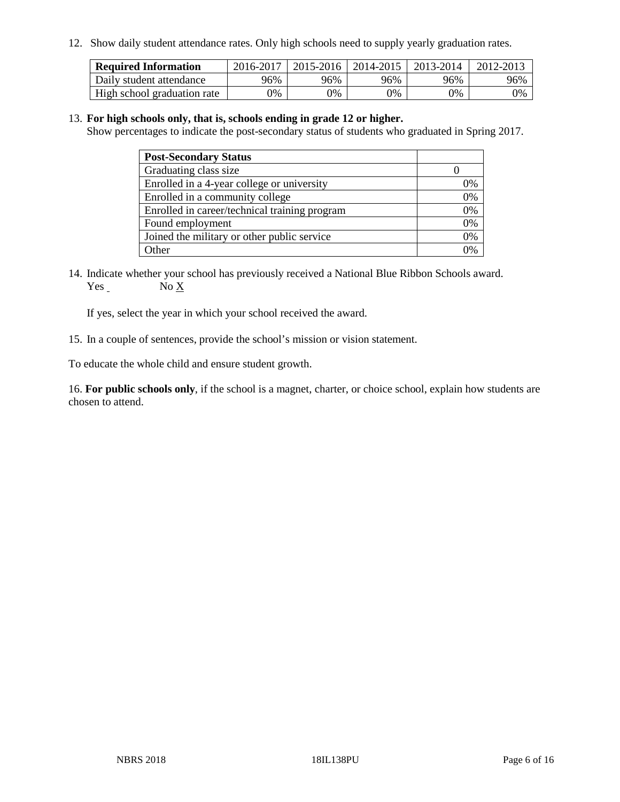12. Show daily student attendance rates. Only high schools need to supply yearly graduation rates.

| <b>Required Information</b> | 2016-2017 | $2015 - 2016$ | 2014-2015 | 2013-2014 | 2012-2013 |
|-----------------------------|-----------|---------------|-----------|-----------|-----------|
| Daily student attendance    | 96%       | 96%           | 96%       | 96%       | 96%       |
| High school graduation rate | 0%        | 0%            | 0%        | 9%        | 0%        |

#### 13. **For high schools only, that is, schools ending in grade 12 or higher.**

Show percentages to indicate the post-secondary status of students who graduated in Spring 2017.

| <b>Post-Secondary Status</b>                  |              |
|-----------------------------------------------|--------------|
| Graduating class size                         |              |
| Enrolled in a 4-year college or university    | 0%           |
| Enrolled in a community college               | 0%           |
| Enrolled in career/technical training program | 0%           |
| Found employment                              | 0%           |
| Joined the military or other public service   | 0%           |
| Other                                         | $\gamma_{0}$ |

14. Indicate whether your school has previously received a National Blue Ribbon Schools award. Yes No X

If yes, select the year in which your school received the award.

15. In a couple of sentences, provide the school's mission or vision statement.

To educate the whole child and ensure student growth.

16. **For public schools only**, if the school is a magnet, charter, or choice school, explain how students are chosen to attend.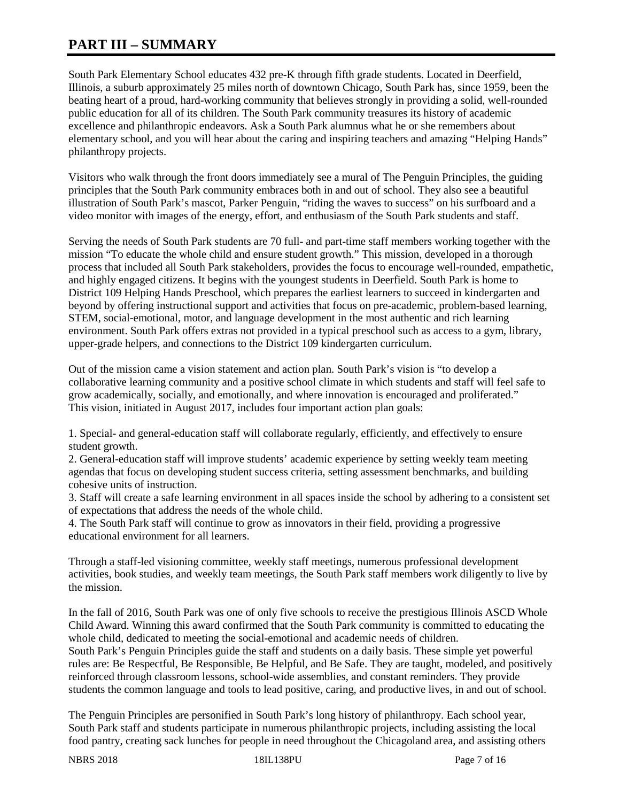# **PART III – SUMMARY**

South Park Elementary School educates 432 pre-K through fifth grade students. Located in Deerfield, Illinois, a suburb approximately 25 miles north of downtown Chicago, South Park has, since 1959, been the beating heart of a proud, hard-working community that believes strongly in providing a solid, well-rounded public education for all of its children. The South Park community treasures its history of academic excellence and philanthropic endeavors. Ask a South Park alumnus what he or she remembers about elementary school, and you will hear about the caring and inspiring teachers and amazing "Helping Hands" philanthropy projects.

Visitors who walk through the front doors immediately see a mural of The Penguin Principles, the guiding principles that the South Park community embraces both in and out of school. They also see a beautiful illustration of South Park's mascot, Parker Penguin, "riding the waves to success" on his surfboard and a video monitor with images of the energy, effort, and enthusiasm of the South Park students and staff.

Serving the needs of South Park students are 70 full- and part-time staff members working together with the mission "To educate the whole child and ensure student growth." This mission, developed in a thorough process that included all South Park stakeholders, provides the focus to encourage well-rounded, empathetic, and highly engaged citizens. It begins with the youngest students in Deerfield. South Park is home to District 109 Helping Hands Preschool, which prepares the earliest learners to succeed in kindergarten and beyond by offering instructional support and activities that focus on pre-academic, problem-based learning, STEM, social-emotional, motor, and language development in the most authentic and rich learning environment. South Park offers extras not provided in a typical preschool such as access to a gym, library, upper-grade helpers, and connections to the District 109 kindergarten curriculum.

Out of the mission came a vision statement and action plan. South Park's vision is "to develop a collaborative learning community and a positive school climate in which students and staff will feel safe to grow academically, socially, and emotionally, and where innovation is encouraged and proliferated." This vision, initiated in August 2017, includes four important action plan goals:

1. Special- and general-education staff will collaborate regularly, efficiently, and effectively to ensure student growth.

2. General-education staff will improve students' academic experience by setting weekly team meeting agendas that focus on developing student success criteria, setting assessment benchmarks, and building cohesive units of instruction.

3. Staff will create a safe learning environment in all spaces inside the school by adhering to a consistent set of expectations that address the needs of the whole child.

4. The South Park staff will continue to grow as innovators in their field, providing a progressive educational environment for all learners.

Through a staff-led visioning committee, weekly staff meetings, numerous professional development activities, book studies, and weekly team meetings, the South Park staff members work diligently to live by the mission.

In the fall of 2016, South Park was one of only five schools to receive the prestigious Illinois ASCD Whole Child Award. Winning this award confirmed that the South Park community is committed to educating the whole child, dedicated to meeting the social-emotional and academic needs of children.

South Park's Penguin Principles guide the staff and students on a daily basis. These simple yet powerful rules are: Be Respectful, Be Responsible, Be Helpful, and Be Safe. They are taught, modeled, and positively reinforced through classroom lessons, school-wide assemblies, and constant reminders. They provide students the common language and tools to lead positive, caring, and productive lives, in and out of school.

The Penguin Principles are personified in South Park's long history of philanthropy. Each school year, South Park staff and students participate in numerous philanthropic projects, including assisting the local food pantry, creating sack lunches for people in need throughout the Chicagoland area, and assisting others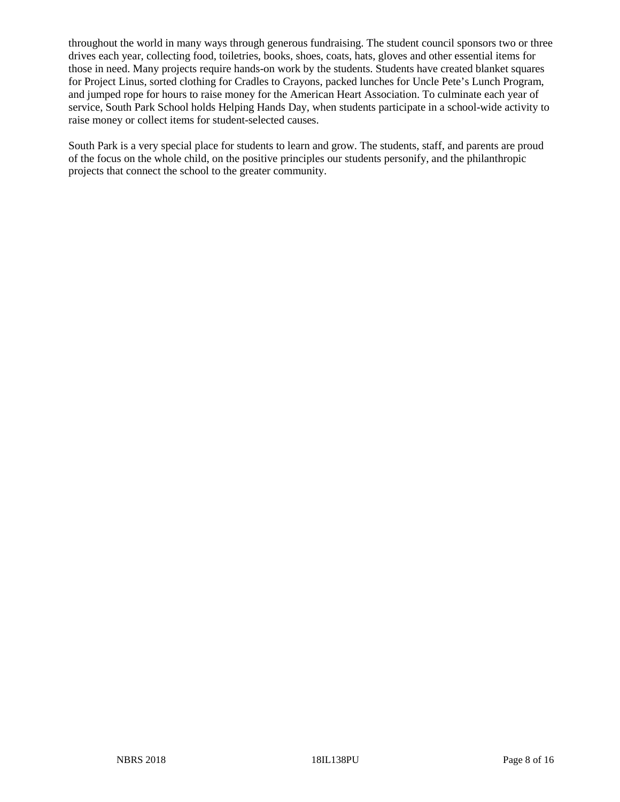throughout the world in many ways through generous fundraising. The student council sponsors two or three drives each year, collecting food, toiletries, books, shoes, coats, hats, gloves and other essential items for those in need. Many projects require hands-on work by the students. Students have created blanket squares for Project Linus, sorted clothing for Cradles to Crayons, packed lunches for Uncle Pete's Lunch Program, and jumped rope for hours to raise money for the American Heart Association. To culminate each year of service, South Park School holds Helping Hands Day, when students participate in a school-wide activity to raise money or collect items for student-selected causes.

South Park is a very special place for students to learn and grow. The students, staff, and parents are proud of the focus on the whole child, on the positive principles our students personify, and the philanthropic projects that connect the school to the greater community.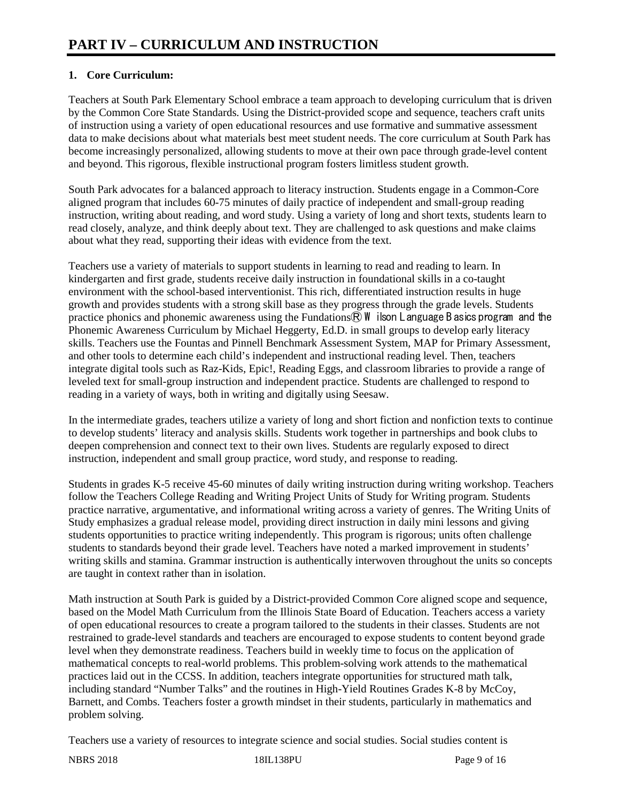## **1. Core Curriculum:**

Teachers at South Park Elementary School embrace a team approach to developing curriculum that is driven by the Common Core State Standards. Using the District-provided scope and sequence, teachers craft units of instruction using a variety of open educational resources and use formative and summative assessment data to make decisions about what materials best meet student needs. The core curriculum at South Park has become increasingly personalized, allowing students to move at their own pace through grade-level content and beyond. This rigorous, flexible instructional program fosters limitless student growth.

South Park advocates for a balanced approach to literacy instruction. Students engage in a Common-Core aligned program that includes 60-75 minutes of daily practice of independent and small-group reading instruction, writing about reading, and word study. Using a variety of long and short texts, students learn to read closely, analyze, and think deeply about text. They are challenged to ask questions and make claims about what they read, supporting their ideas with evidence from the text.

Teachers use a variety of materials to support students in learning to read and reading to learn. In kindergarten and first grade, students receive daily instruction in foundational skills in a co-taught environment with the school-based interventionist. This rich, differentiated instruction results in huge growth and provides students with a strong skill base as they progress through the grade levels. Students practice phonics and phonemic awareness using the Fundations $\overline{R}$  W ilson Language B asics program and the Phonemic Awareness Curriculum by Michael Heggerty, Ed.D. in small groups to develop early literacy skills. Teachers use the Fountas and Pinnell Benchmark Assessment System, MAP for Primary Assessment, and other tools to determine each child's independent and instructional reading level. Then, teachers integrate digital tools such as Raz-Kids, Epic!, Reading Eggs, and classroom libraries to provide a range of leveled text for small-group instruction and independent practice. Students are challenged to respond to reading in a variety of ways, both in writing and digitally using Seesaw.

In the intermediate grades, teachers utilize a variety of long and short fiction and nonfiction texts to continue to develop students' literacy and analysis skills. Students work together in partnerships and book clubs to deepen comprehension and connect text to their own lives. Students are regularly exposed to direct instruction, independent and small group practice, word study, and response to reading.

Students in grades K-5 receive 45-60 minutes of daily writing instruction during writing workshop. Teachers follow the Teachers College Reading and Writing Project Units of Study for Writing program. Students practice narrative, argumentative, and informational writing across a variety of genres. The Writing Units of Study emphasizes a gradual release model, providing direct instruction in daily mini lessons and giving students opportunities to practice writing independently. This program is rigorous; units often challenge students to standards beyond their grade level. Teachers have noted a marked improvement in students' writing skills and stamina. Grammar instruction is authentically interwoven throughout the units so concepts are taught in context rather than in isolation.

Math instruction at South Park is guided by a District-provided Common Core aligned scope and sequence, based on the Model Math Curriculum from the Illinois State Board of Education. Teachers access a variety of open educational resources to create a program tailored to the students in their classes. Students are not restrained to grade-level standards and teachers are encouraged to expose students to content beyond grade level when they demonstrate readiness. Teachers build in weekly time to focus on the application of mathematical concepts to real-world problems. This problem-solving work attends to the mathematical practices laid out in the CCSS. In addition, teachers integrate opportunities for structured math talk, including standard "Number Talks" and the routines in High-Yield Routines Grades K-8 by McCoy, Barnett, and Combs. Teachers foster a growth mindset in their students, particularly in mathematics and problem solving.

Teachers use a variety of resources to integrate science and social studies. Social studies content is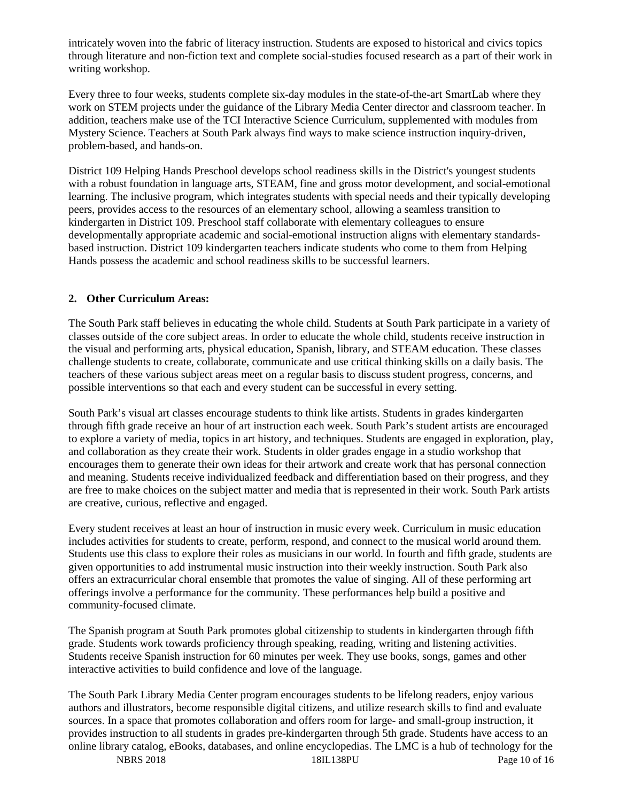intricately woven into the fabric of literacy instruction. Students are exposed to historical and civics topics through literature and non-fiction text and complete social-studies focused research as a part of their work in writing workshop.

Every three to four weeks, students complete six-day modules in the state-of-the-art SmartLab where they work on STEM projects under the guidance of the Library Media Center director and classroom teacher. In addition, teachers make use of the TCI Interactive Science Curriculum, supplemented with modules from Mystery Science. Teachers at South Park always find ways to make science instruction inquiry-driven, problem-based, and hands-on.

District 109 Helping Hands Preschool develops school readiness skills in the District's youngest students with a robust foundation in language arts, STEAM, fine and gross motor development, and social-emotional learning. The inclusive program, which integrates students with special needs and their typically developing peers, provides access to the resources of an elementary school, allowing a seamless transition to kindergarten in District 109. Preschool staff collaborate with elementary colleagues to ensure developmentally appropriate academic and social-emotional instruction aligns with elementary standardsbased instruction. District 109 kindergarten teachers indicate students who come to them from Helping Hands possess the academic and school readiness skills to be successful learners.

#### **2. Other Curriculum Areas:**

The South Park staff believes in educating the whole child. Students at South Park participate in a variety of classes outside of the core subject areas. In order to educate the whole child, students receive instruction in the visual and performing arts, physical education, Spanish, library, and STEAM education. These classes challenge students to create, collaborate, communicate and use critical thinking skills on a daily basis. The teachers of these various subject areas meet on a regular basis to discuss student progress, concerns, and possible interventions so that each and every student can be successful in every setting.

South Park's visual art classes encourage students to think like artists. Students in grades kindergarten through fifth grade receive an hour of art instruction each week. South Park's student artists are encouraged to explore a variety of media, topics in art history, and techniques. Students are engaged in exploration, play, and collaboration as they create their work. Students in older grades engage in a studio workshop that encourages them to generate their own ideas for their artwork and create work that has personal connection and meaning. Students receive individualized feedback and differentiation based on their progress, and they are free to make choices on the subject matter and media that is represented in their work. South Park artists are creative, curious, reflective and engaged.

Every student receives at least an hour of instruction in music every week. Curriculum in music education includes activities for students to create, perform, respond, and connect to the musical world around them. Students use this class to explore their roles as musicians in our world. In fourth and fifth grade, students are given opportunities to add instrumental music instruction into their weekly instruction. South Park also offers an extracurricular choral ensemble that promotes the value of singing. All of these performing art offerings involve a performance for the community. These performances help build a positive and community-focused climate.

The Spanish program at South Park promotes global citizenship to students in kindergarten through fifth grade. Students work towards proficiency through speaking, reading, writing and listening activities. Students receive Spanish instruction for 60 minutes per week. They use books, songs, games and other interactive activities to build confidence and love of the language.

The South Park Library Media Center program encourages students to be lifelong readers, enjoy various authors and illustrators, become responsible digital citizens, and utilize research skills to find and evaluate sources. In a space that promotes collaboration and offers room for large- and small-group instruction, it provides instruction to all students in grades pre-kindergarten through 5th grade. Students have access to an online library catalog, eBooks, databases, and online encyclopedias. The LMC is a hub of technology for the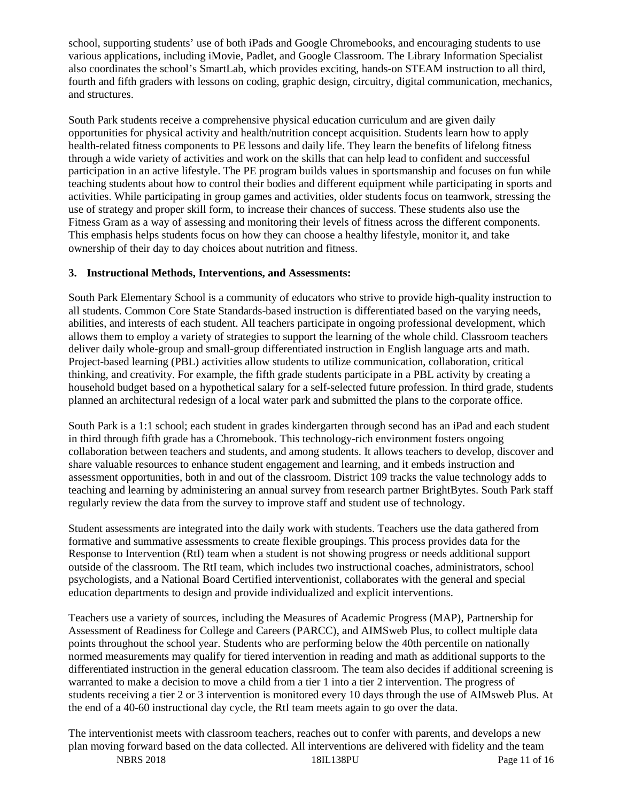school, supporting students' use of both iPads and Google Chromebooks, and encouraging students to use various applications, including iMovie, Padlet, and Google Classroom. The Library Information Specialist also coordinates the school's SmartLab, which provides exciting, hands-on STEAM instruction to all third, fourth and fifth graders with lessons on coding, graphic design, circuitry, digital communication, mechanics, and structures.

South Park students receive a comprehensive physical education curriculum and are given daily opportunities for physical activity and health/nutrition concept acquisition. Students learn how to apply health-related fitness components to PE lessons and daily life. They learn the benefits of lifelong fitness through a wide variety of activities and work on the skills that can help lead to confident and successful participation in an active lifestyle. The PE program builds values in sportsmanship and focuses on fun while teaching students about how to control their bodies and different equipment while participating in sports and activities. While participating in group games and activities, older students focus on teamwork, stressing the use of strategy and proper skill form, to increase their chances of success. These students also use the Fitness Gram as a way of assessing and monitoring their levels of fitness across the different components. This emphasis helps students focus on how they can choose a healthy lifestyle, monitor it, and take ownership of their day to day choices about nutrition and fitness.

#### **3. Instructional Methods, Interventions, and Assessments:**

South Park Elementary School is a community of educators who strive to provide high-quality instruction to all students. Common Core State Standards-based instruction is differentiated based on the varying needs, abilities, and interests of each student. All teachers participate in ongoing professional development, which allows them to employ a variety of strategies to support the learning of the whole child. Classroom teachers deliver daily whole-group and small-group differentiated instruction in English language arts and math. Project-based learning (PBL) activities allow students to utilize communication, collaboration, critical thinking, and creativity. For example, the fifth grade students participate in a PBL activity by creating a household budget based on a hypothetical salary for a self-selected future profession. In third grade, students planned an architectural redesign of a local water park and submitted the plans to the corporate office.

South Park is a 1:1 school; each student in grades kindergarten through second has an iPad and each student in third through fifth grade has a Chromebook. This technology-rich environment fosters ongoing collaboration between teachers and students, and among students. It allows teachers to develop, discover and share valuable resources to enhance student engagement and learning, and it embeds instruction and assessment opportunities, both in and out of the classroom. District 109 tracks the value technology adds to teaching and learning by administering an annual survey from research partner BrightBytes. South Park staff regularly review the data from the survey to improve staff and student use of technology.

Student assessments are integrated into the daily work with students. Teachers use the data gathered from formative and summative assessments to create flexible groupings. This process provides data for the Response to Intervention (RtI) team when a student is not showing progress or needs additional support outside of the classroom. The RtI team, which includes two instructional coaches, administrators, school psychologists, and a National Board Certified interventionist, collaborates with the general and special education departments to design and provide individualized and explicit interventions.

Teachers use a variety of sources, including the Measures of Academic Progress (MAP), Partnership for Assessment of Readiness for College and Careers (PARCC), and AIMSweb Plus, to collect multiple data points throughout the school year. Students who are performing below the 40th percentile on nationally normed measurements may qualify for tiered intervention in reading and math as additional supports to the differentiated instruction in the general education classroom. The team also decides if additional screening is warranted to make a decision to move a child from a tier 1 into a tier 2 intervention. The progress of students receiving a tier 2 or 3 intervention is monitored every 10 days through the use of AIMsweb Plus. At the end of a 40-60 instructional day cycle, the RtI team meets again to go over the data.

NBRS 2018 18IL138PU Page 11 of 16 The interventionist meets with classroom teachers, reaches out to confer with parents, and develops a new plan moving forward based on the data collected. All interventions are delivered with fidelity and the team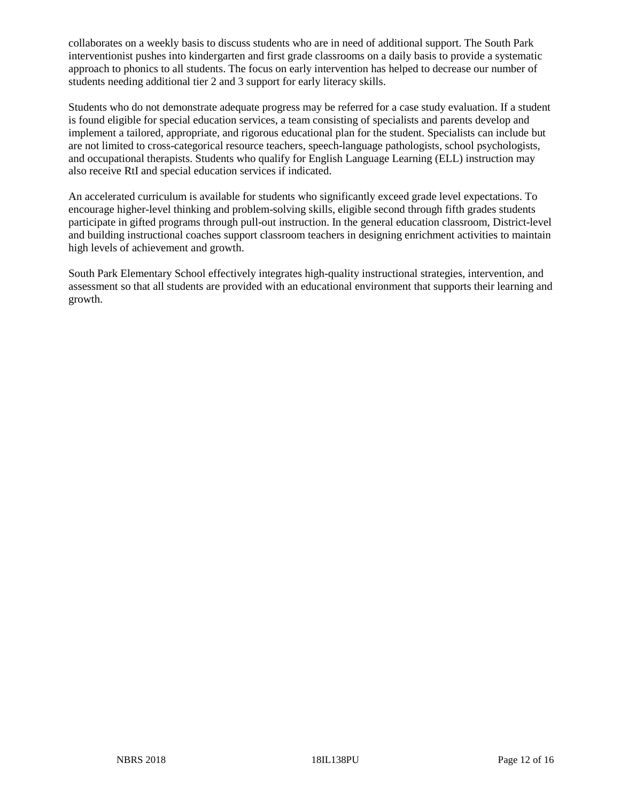collaborates on a weekly basis to discuss students who are in need of additional support. The South Park interventionist pushes into kindergarten and first grade classrooms on a daily basis to provide a systematic approach to phonics to all students. The focus on early intervention has helped to decrease our number of students needing additional tier 2 and 3 support for early literacy skills.

Students who do not demonstrate adequate progress may be referred for a case study evaluation. If a student is found eligible for special education services, a team consisting of specialists and parents develop and implement a tailored, appropriate, and rigorous educational plan for the student. Specialists can include but are not limited to cross-categorical resource teachers, speech-language pathologists, school psychologists, and occupational therapists. Students who qualify for English Language Learning (ELL) instruction may also receive RtI and special education services if indicated.

An accelerated curriculum is available for students who significantly exceed grade level expectations. To encourage higher-level thinking and problem-solving skills, eligible second through fifth grades students participate in gifted programs through pull-out instruction. In the general education classroom, District-level and building instructional coaches support classroom teachers in designing enrichment activities to maintain high levels of achievement and growth.

South Park Elementary School effectively integrates high-quality instructional strategies, intervention, and assessment so that all students are provided with an educational environment that supports their learning and growth.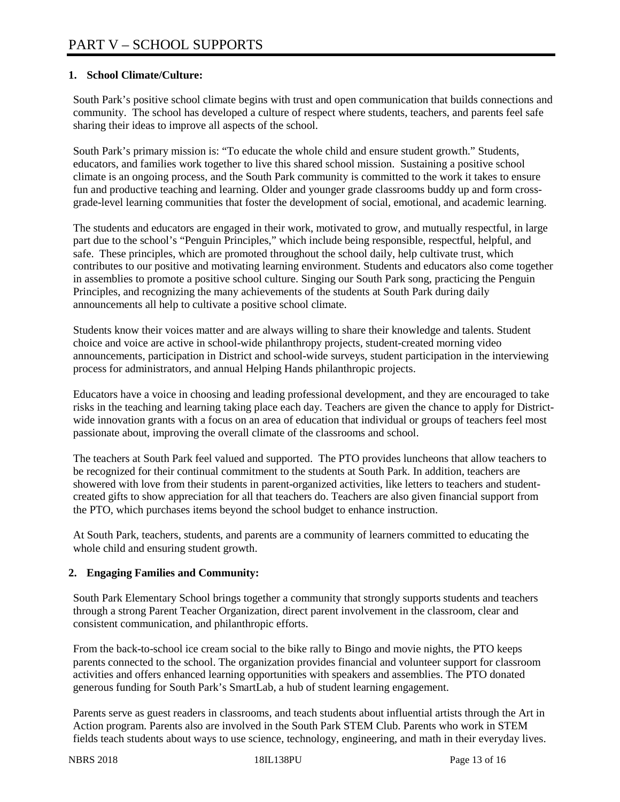## **1. School Climate/Culture:**

South Park's positive school climate begins with trust and open communication that builds connections and community. The school has developed a culture of respect where students, teachers, and parents feel safe sharing their ideas to improve all aspects of the school.

South Park's primary mission is: "To educate the whole child and ensure student growth." Students, educators, and families work together to live this shared school mission. Sustaining a positive school climate is an ongoing process, and the South Park community is committed to the work it takes to ensure fun and productive teaching and learning. Older and younger grade classrooms buddy up and form crossgrade-level learning communities that foster the development of social, emotional, and academic learning.

The students and educators are engaged in their work, motivated to grow, and mutually respectful, in large part due to the school's "Penguin Principles," which include being responsible, respectful, helpful, and safe. These principles, which are promoted throughout the school daily, help cultivate trust, which contributes to our positive and motivating learning environment. Students and educators also come together in assemblies to promote a positive school culture. Singing our South Park song, practicing the Penguin Principles, and recognizing the many achievements of the students at South Park during daily announcements all help to cultivate a positive school climate.

Students know their voices matter and are always willing to share their knowledge and talents. Student choice and voice are active in school-wide philanthropy projects, student-created morning video announcements, participation in District and school-wide surveys, student participation in the interviewing process for administrators, and annual Helping Hands philanthropic projects.

Educators have a voice in choosing and leading professional development, and they are encouraged to take risks in the teaching and learning taking place each day. Teachers are given the chance to apply for Districtwide innovation grants with a focus on an area of education that individual or groups of teachers feel most passionate about, improving the overall climate of the classrooms and school.

The teachers at South Park feel valued and supported. The PTO provides luncheons that allow teachers to be recognized for their continual commitment to the students at South Park. In addition, teachers are showered with love from their students in parent-organized activities, like letters to teachers and studentcreated gifts to show appreciation for all that teachers do. Teachers are also given financial support from the PTO, which purchases items beyond the school budget to enhance instruction.

At South Park, teachers, students, and parents are a community of learners committed to educating the whole child and ensuring student growth.

## **2. Engaging Families and Community:**

South Park Elementary School brings together a community that strongly supports students and teachers through a strong Parent Teacher Organization, direct parent involvement in the classroom, clear and consistent communication, and philanthropic efforts.

From the back-to-school ice cream social to the bike rally to Bingo and movie nights, the PTO keeps parents connected to the school. The organization provides financial and volunteer support for classroom activities and offers enhanced learning opportunities with speakers and assemblies. The PTO donated generous funding for South Park's SmartLab, a hub of student learning engagement.

Parents serve as guest readers in classrooms, and teach students about influential artists through the Art in Action program. Parents also are involved in the South Park STEM Club. Parents who work in STEM fields teach students about ways to use science, technology, engineering, and math in their everyday lives.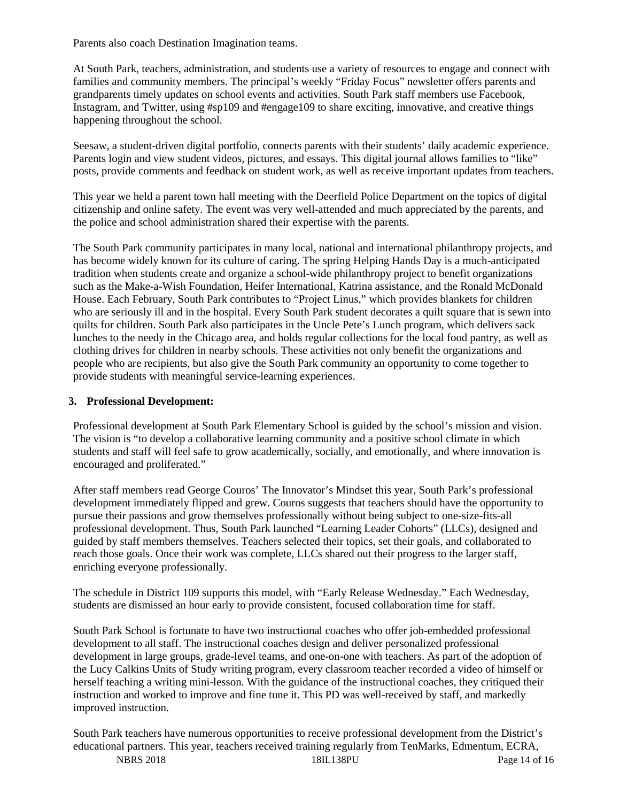Parents also coach Destination Imagination teams.

At South Park, teachers, administration, and students use a variety of resources to engage and connect with families and community members. The principal's weekly "Friday Focus" newsletter offers parents and grandparents timely updates on school events and activities. South Park staff members use Facebook, Instagram, and Twitter, using #sp109 and #engage109 to share exciting, innovative, and creative things happening throughout the school.

Seesaw, a student-driven digital portfolio, connects parents with their students' daily academic experience. Parents login and view student videos, pictures, and essays. This digital journal allows families to "like" posts, provide comments and feedback on student work, as well as receive important updates from teachers.

This year we held a parent town hall meeting with the Deerfield Police Department on the topics of digital citizenship and online safety. The event was very well-attended and much appreciated by the parents, and the police and school administration shared their expertise with the parents.

The South Park community participates in many local, national and international philanthropy projects, and has become widely known for its culture of caring. The spring Helping Hands Day is a much-anticipated tradition when students create and organize a school-wide philanthropy project to benefit organizations such as the Make-a-Wish Foundation, Heifer International, Katrina assistance, and the Ronald McDonald House. Each February, South Park contributes to "Project Linus," which provides blankets for children who are seriously ill and in the hospital. Every South Park student decorates a quilt square that is sewn into quilts for children. South Park also participates in the Uncle Pete's Lunch program, which delivers sack lunches to the needy in the Chicago area, and holds regular collections for the local food pantry, as well as clothing drives for children in nearby schools. These activities not only benefit the organizations and people who are recipients, but also give the South Park community an opportunity to come together to provide students with meaningful service-learning experiences.

#### **3. Professional Development:**

Professional development at South Park Elementary School is guided by the school's mission and vision. The vision is "to develop a collaborative learning community and a positive school climate in which students and staff will feel safe to grow academically, socially, and emotionally, and where innovation is encouraged and proliferated."

After staff members read George Couros' The Innovator's Mindset this year, South Park's professional development immediately flipped and grew. Couros suggests that teachers should have the opportunity to pursue their passions and grow themselves professionally without being subject to one-size-fits-all professional development. Thus, South Park launched "Learning Leader Cohorts" (LLCs), designed and guided by staff members themselves. Teachers selected their topics, set their goals, and collaborated to reach those goals. Once their work was complete, LLCs shared out their progress to the larger staff, enriching everyone professionally.

The schedule in District 109 supports this model, with "Early Release Wednesday." Each Wednesday, students are dismissed an hour early to provide consistent, focused collaboration time for staff.

South Park School is fortunate to have two instructional coaches who offer job-embedded professional development to all staff. The instructional coaches design and deliver personalized professional development in large groups, grade-level teams, and one-on-one with teachers. As part of the adoption of the Lucy Calkins Units of Study writing program, every classroom teacher recorded a video of himself or herself teaching a writing mini-lesson. With the guidance of the instructional coaches, they critiqued their instruction and worked to improve and fine tune it. This PD was well-received by staff, and markedly improved instruction.

NBRS 2018 18IL138PU Page 14 of 16 South Park teachers have numerous opportunities to receive professional development from the District's educational partners. This year, teachers received training regularly from TenMarks, Edmentum, ECRA,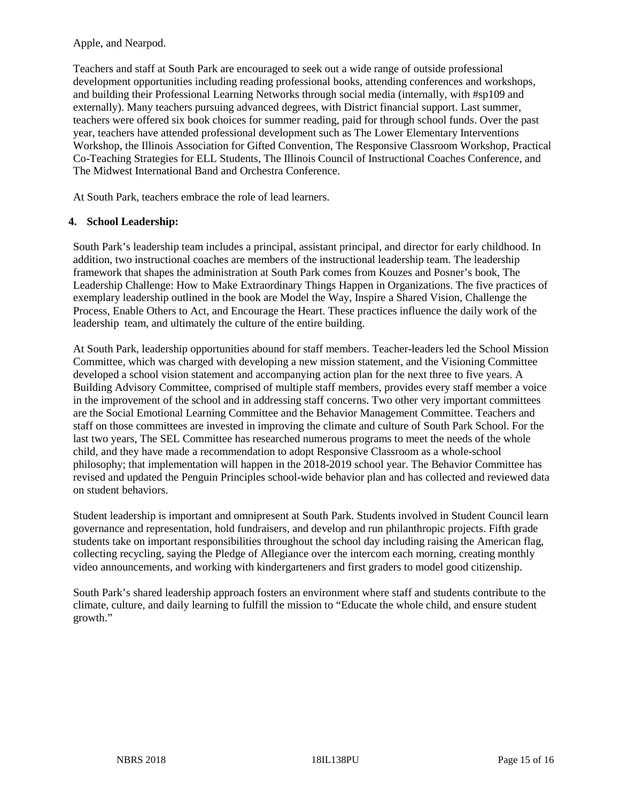Apple, and Nearpod.

Teachers and staff at South Park are encouraged to seek out a wide range of outside professional development opportunities including reading professional books, attending conferences and workshops, and building their Professional Learning Networks through social media (internally, with #sp109 and externally). Many teachers pursuing advanced degrees, with District financial support. Last summer, teachers were offered six book choices for summer reading, paid for through school funds. Over the past year, teachers have attended professional development such as The Lower Elementary Interventions Workshop, the Illinois Association for Gifted Convention, The Responsive Classroom Workshop, Practical Co-Teaching Strategies for ELL Students, The Illinois Council of Instructional Coaches Conference, and The Midwest International Band and Orchestra Conference.

At South Park, teachers embrace the role of lead learners.

#### **4. School Leadership:**

South Park's leadership team includes a principal, assistant principal, and director for early childhood. In addition, two instructional coaches are members of the instructional leadership team. The leadership framework that shapes the administration at South Park comes from Kouzes and Posner's book, The Leadership Challenge: How to Make Extraordinary Things Happen in Organizations. The five practices of exemplary leadership outlined in the book are Model the Way, Inspire a Shared Vision, Challenge the Process, Enable Others to Act, and Encourage the Heart. These practices influence the daily work of the leadership team, and ultimately the culture of the entire building.

At South Park, leadership opportunities abound for staff members. Teacher-leaders led the School Mission Committee, which was charged with developing a new mission statement, and the Visioning Committee developed a school vision statement and accompanying action plan for the next three to five years. A Building Advisory Committee, comprised of multiple staff members, provides every staff member a voice in the improvement of the school and in addressing staff concerns. Two other very important committees are the Social Emotional Learning Committee and the Behavior Management Committee. Teachers and staff on those committees are invested in improving the climate and culture of South Park School. For the last two years, The SEL Committee has researched numerous programs to meet the needs of the whole child, and they have made a recommendation to adopt Responsive Classroom as a whole-school philosophy; that implementation will happen in the 2018-2019 school year. The Behavior Committee has revised and updated the Penguin Principles school-wide behavior plan and has collected and reviewed data on student behaviors.

Student leadership is important and omnipresent at South Park. Students involved in Student Council learn governance and representation, hold fundraisers, and develop and run philanthropic projects. Fifth grade students take on important responsibilities throughout the school day including raising the American flag, collecting recycling, saying the Pledge of Allegiance over the intercom each morning, creating monthly video announcements, and working with kindergarteners and first graders to model good citizenship.

South Park's shared leadership approach fosters an environment where staff and students contribute to the climate, culture, and daily learning to fulfill the mission to "Educate the whole child, and ensure student growth."